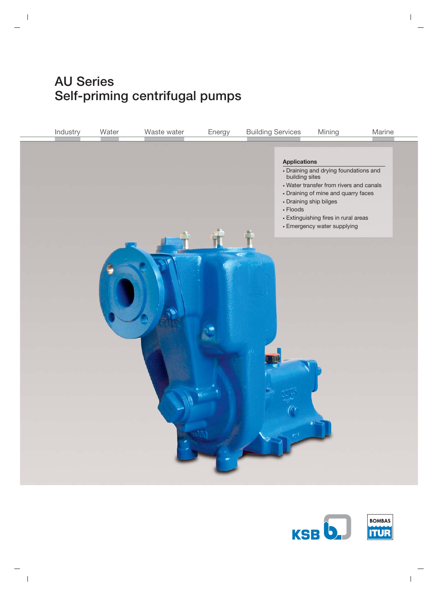# **AU Series Self-priming centrifugal pumps**